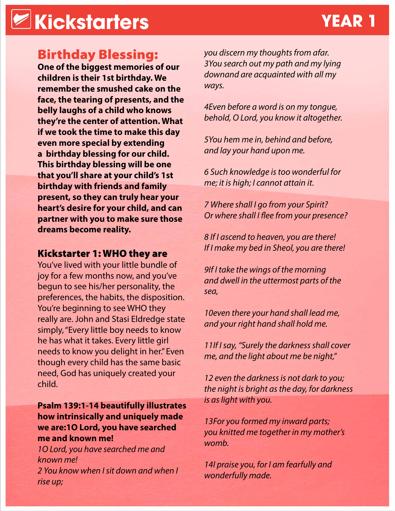### **Kickstarters YEAR 1**

### Birthday Blessing:

**One of the biggest memories of our children is their 1st birthday. We remember the smushed cake on the face, the tearing of presents, and the belly laughs of a child who knows they're the center of attention. What if we took the time to make this day even more special by extending a birthday blessing for our child. This birthday blessing will be one that you'll share at your child's 1st birthday with friends and family present, so they can truly hear your heart's desire for your child, and can partner with you to make sure those dreams become reality.**

### Kickstarter 1: WHO they are

You've lived with your little bundle of joy for a few months now, and you've begun to see his/her personality, the preferences, the habits, the disposition. You're beginning to see WHO they really are. John and Stasi Eldredge state simply, "Every little boy needs to know he has what it takes. Every little girl needs to know you delight in her." Even though every child has the same basic need, God has uniquely created your child.

#### **Psalm 139:1-14 beautifully illustrates how intrinsically and uniquely made we are:1O Lord, you have searched me and known me!**

*1O Lord, you have searched me and known me! 2 You know when I sit down and when I rise up;*

*you discern my thoughts from afar. 3You search out my path and my lying downand are acquainted with all my ways.*

*4Even before a word is on my tongue, behold, O Lord, you know it altogether.*

*5You hem me in, behind and before, and lay your hand upon me.*

*6 Such knowledge is too wonderful for me; it is high; I cannot attain it.*

*7 Where shall I go from your Spirit? Or where shall I flee from your presence?*

*8 If I ascend to heaven, you are there! If I make my bed in Sheol, you are there!*

*9If I take the wings of the morning and dwell in the uttermost parts of the sea,*

*10even there your hand shall lead me, and your right hand shall hold me.*

*11If I say, "Surely the darkness shall cover me, and the light about me be night,"*

*12 even the darkness is not dark to you; the night is bright as the day, for darkness is as light with you.*

*13For you formed my inward parts; you knitted me together in my mother's womb.*

*14I praise you, for I am fearfully and wonderfully made.*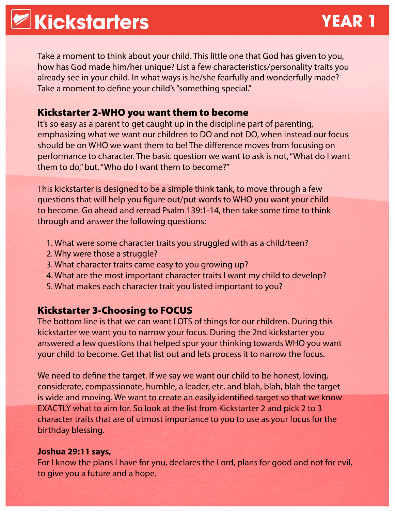# **Kickstarters YEAR 1**

Take a moment to think about your child. This little one that God has given to you, how has God made him/her unique? List a few characteristics/personality traits you already see in your child. In what ways is he/she fearfully and wonderfully made? Take a moment to define your child's "something special."

### Kickstarter 2-WHO you want them to become

It's so easy as a parent to get caught up in the discipline part of parenting, emphasizing what we want our children to DO and not DO, when instead our focus should be on WHO we want them to be! The difference moves from focusing on performance to character. The basic question we want to ask is not, "What do I want them to do," but, "Who do I want them to become?"

This kickstarter is designed to be a simple think tank, to move through a few questions that will help you figure out/put words to WHO you want your child to become. Go ahead and reread Psalm 139:1-14, then take some time to think through and answer the following questions:

- 1. What were some character traits you struggled with as a child/teen?
- 2. Why were those a struggle?
- 3. What character traits came easy to you growing up?
- 4. What are the most important character traits I want my child to develop?
- 5. What makes each character trait you listed important to you?

### Kickstarter 3-Choosing to FOCUS

The bottom line is that we can want LOTS of things for our children. During this kickstarter we want you to narrow your focus. During the 2nd kickstarter you answered a few questions that helped spur your thinking towards WHO you want your child to become. Get that list out and lets process it to narrow the focus.

We need to define the target. If we say we want our child to be honest, loving, considerate, compassionate, humble, a leader, etc. and blah, blah, blah the target is wide and moving. We want to create an easily identified target so that we know EXACTLY what to aim for. So look at the list from Kickstarter 2 and pick 2 to 3 character traits that are of utmost importance to you to use as your focus for the birthday blessing.

#### **Joshua 29:11 says,**

For I know the plans I have for you, declares the Lord, plans for good and not for evil, to give you a future and a hope.